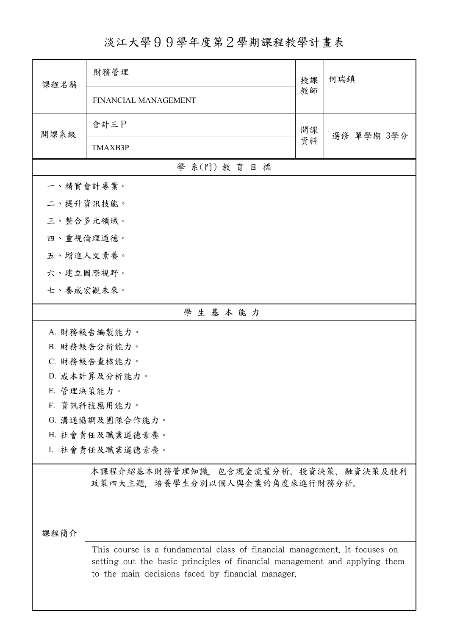## 淡江大學99學年度第2學期課程教學計畫表

| 課程名稱            | 財務管理                                                                                                                                                                                                         | 授課 | 何瑞鎮        |  |
|-----------------|--------------------------------------------------------------------------------------------------------------------------------------------------------------------------------------------------------------|----|------------|--|
|                 | FINANCIAL MANAGEMENT                                                                                                                                                                                         | 教師 |            |  |
| 開課系級            | 會計三P                                                                                                                                                                                                         | 開課 | 選修 單學期 3學分 |  |
|                 | TMAXB3P                                                                                                                                                                                                      | 資料 |            |  |
| 學 系(門) 教育目標     |                                                                                                                                                                                                              |    |            |  |
| 一、精實會計專業。       |                                                                                                                                                                                                              |    |            |  |
| 二、提升資訊技能。       |                                                                                                                                                                                                              |    |            |  |
| 三、整合多元領域。       |                                                                                                                                                                                                              |    |            |  |
| 四、重視倫理道德。       |                                                                                                                                                                                                              |    |            |  |
| 五、增進人文素養。       |                                                                                                                                                                                                              |    |            |  |
| 六、建立國際視野。       |                                                                                                                                                                                                              |    |            |  |
| 七、養成宏觀未來。       |                                                                                                                                                                                                              |    |            |  |
| 學生基本能力          |                                                                                                                                                                                                              |    |            |  |
| A. 財務報告編製能力。    |                                                                                                                                                                                                              |    |            |  |
| B. 財務報告分析能力。    |                                                                                                                                                                                                              |    |            |  |
| C. 財務報告查核能力。    |                                                                                                                                                                                                              |    |            |  |
|                 | D. 成本計算及分析能力。                                                                                                                                                                                                |    |            |  |
| E. 管理決策能力。      |                                                                                                                                                                                                              |    |            |  |
|                 | F. 資訊科技應用能力。                                                                                                                                                                                                 |    |            |  |
| G. 溝通協調及團隊合作能力。 |                                                                                                                                                                                                              |    |            |  |
|                 | H. 社會責任及職業道德素養。                                                                                                                                                                                              |    |            |  |
|                 | I. 社會責任及職業道德素養。                                                                                                                                                                                              |    |            |  |
|                 | 本課程介紹基本財務管理知識,包含現金流量分析、投資決策、融資決策及股利<br>政策四大主題,培養學生分別以個人與企業的角度來進行財務分析。                                                                                                                                        |    |            |  |
|                 |                                                                                                                                                                                                              |    |            |  |
| 课程简介            |                                                                                                                                                                                                              |    |            |  |
|                 | This course is a fundamental class of financial management. It focuses on<br>setting out the basic principles of financial management and applying them<br>to the main decisions faced by financial manager. |    |            |  |
|                 |                                                                                                                                                                                                              |    |            |  |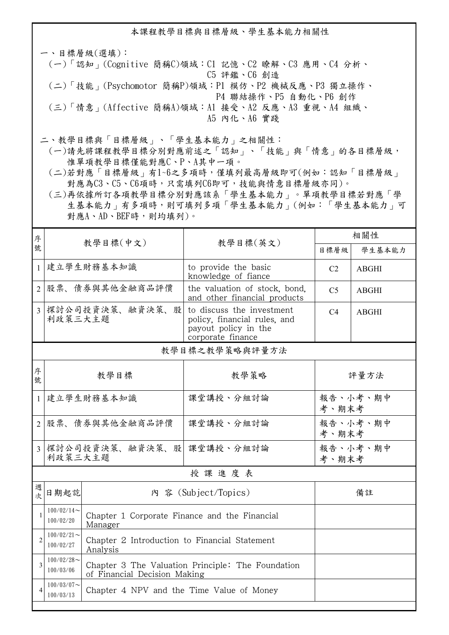本課程教學目標與目標層級、學生基本能力相關性

一、目標層級(選填): (一)「認知」(Cognitive 簡稱C)領域:C1 記憶、C2 瞭解、C3 應用、C4 分析、 C5 評鑑、C6 創造 (二)「技能」(Psychomotor 簡稱P)領域:P1 模仿、P2 機械反應、P3 獨立操作、 P4 聯結操作、P5 自動化、P6 創作 (三)「情意」(Affective 簡稱A)領域:A1 接受、A2 反應、A3 重視、A4 組織、 A5 內化、A6 實踐

二、教學目標與「目標層級」、「學生基本能力」之相關性:

 (一)請先將課程教學目標分別對應前述之「認知」、「技能」與「情意」的各目標層級, 惟單項教學目標僅能對應C、P、A其中一項。

 (二)若對應「目標層級」有1~6之多項時,僅填列最高層級即可(例如:認知「目標層級」 對應為C3、C5、C6項時,只需填列C6即可,技能與情意目標層級亦同)。

 (三)再依據所訂各項教學目標分別對應該系「學生基本能力」。單項教學目標若對應「學 生基本能力」有多項時,則可填列多項「學生基本能力」(例如:「學生基本能力」可 對應A、AD、BEF時,則均填列)。

| 序              | 教學目標(中文)                                                                |                                                                                   |                                                                                                        | 相關性               |              |
|----------------|-------------------------------------------------------------------------|-----------------------------------------------------------------------------------|--------------------------------------------------------------------------------------------------------|-------------------|--------------|
| 號              |                                                                         |                                                                                   | 教學目標(英文)                                                                                               | 目標層級              | 學生基本能力       |
| $\mathbf{1}$   | 建立學生財務基本知識                                                              |                                                                                   | to provide the basic<br>knowledge of fiance                                                            | C <sub>2</sub>    | <b>ABGHI</b> |
| $\mathfrak{D}$ | 股票、債券與其他金融商品評價                                                          |                                                                                   | the valuation of stock, bond,<br>and other financial products                                          | C <sub>5</sub>    | <b>ABGHI</b> |
| $\overline{3}$ | 探討公司投資決策、融資決策、股<br>利政策三大主題                                              |                                                                                   | to discuss the investment<br>policy, financial rules, and<br>payout policy in the<br>corporate finance | C <sub>4</sub>    | <b>ABGHI</b> |
|                |                                                                         |                                                                                   | 教學目標之教學策略與評量方法                                                                                         |                   |              |
| 序<br>號         | 教學目標                                                                    |                                                                                   | 教學策略                                                                                                   | 評量方法              |              |
| $\mathbf{1}$   | 建立學生財務基本知識                                                              |                                                                                   | 課堂講授、分組討論                                                                                              | 報告、小考、期中<br>考、期末考 |              |
| $\overline{2}$ | 股票、債券與其他金融商品評價                                                          |                                                                                   | 課堂講授、分組討論                                                                                              | 報告、小考、期中<br>考、期末考 |              |
| 3              | 探討公司投資決策、融資決策、股  課堂講授、分組討論<br>利政策三大主題                                   |                                                                                   |                                                                                                        | 報告、小考、期中<br>考、期末考 |              |
| 授課進度表          |                                                                         |                                                                                   |                                                                                                        |                   |              |
| 週<br>次         | 日期起訖                                                                    | 內 容 (Subject/Topics)                                                              |                                                                                                        |                   | 備註           |
| $\mathbf{1}$   | $100/02/14$ ~<br>100/02/20                                              | Chapter 1 Corporate Finance and the Financial<br>Manager                          |                                                                                                        |                   |              |
| $\mathfrak{D}$ | $100/02/21$ ~<br>100/02/27                                              | Chapter 2 Introduction to Financial Statement<br>Analysis                         |                                                                                                        |                   |              |
| 3              | $100/02/28$ ~<br>100/03/06                                              | Chapter 3 The Valuation Principle: The Foundation<br>of Financial Decision Making |                                                                                                        |                   |              |
|                | $100/03/07$ ~<br>Chapter 4 NPV and the Time Value of Money<br>100/03/13 |                                                                                   |                                                                                                        |                   |              |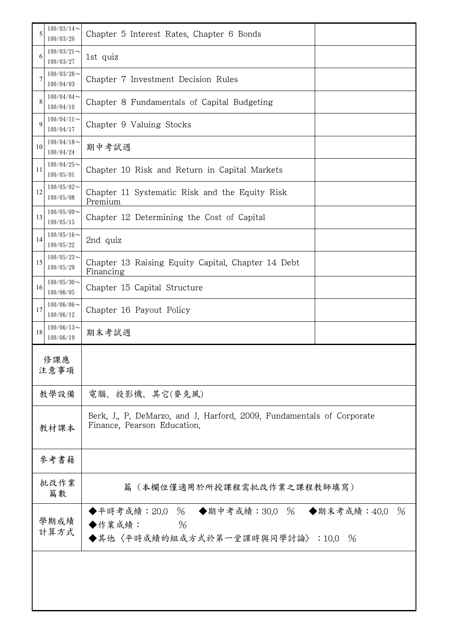| 5            | $100/03/14$ ~<br>100/03/20                                                              | Chapter 5 Interest Rates, Chapter 6 Bonds                                                             |  |  |
|--------------|-----------------------------------------------------------------------------------------|-------------------------------------------------------------------------------------------------------|--|--|
| 6            | $100/03/21$ ~<br>100/03/27                                                              | 1st quiz                                                                                              |  |  |
| 7            | $100/03/28$ ~<br>100/04/03                                                              | Chapter 7 Investment Decision Rules                                                                   |  |  |
| 8            | $100/04/04$ ~<br>100/04/10                                                              | Chapter 8 Fundamentals of Capital Budgeting                                                           |  |  |
| 9            | $100/04/11$ ~<br>100/04/17                                                              | Chapter 9 Valuing Stocks                                                                              |  |  |
| 10           | $100/04/18$ ~<br>100/04/24                                                              | 期中考試週                                                                                                 |  |  |
| 11           | $100/04/25$ ~<br>100/05/01                                                              | Chapter 10 Risk and Return in Capital Markets                                                         |  |  |
| 12           | $100/05/02$ ~<br>Chapter 11 Systematic Risk and the Equity Risk<br>100/05/08<br>Premium |                                                                                                       |  |  |
| 13           | $100/05/09$ ~<br>Chapter 12 Determining the Cost of Capital<br>100/05/15                |                                                                                                       |  |  |
| 14           | $100/05/16$ ~<br>100/05/22                                                              | 2nd quiz                                                                                              |  |  |
| 15           | $100/05/23$ ~<br>100/05/29                                                              | Chapter 13 Raising Equity Capital, Chapter 14 Debt<br>Financing                                       |  |  |
| 16           | $100/05/30$ ~<br>100/06/05                                                              | Chapter 15 Capital Structure                                                                          |  |  |
| 17           | $100/06/06$ ~<br>100/06/12                                                              | Chapter 16 Payout Policy                                                                              |  |  |
| 18           | $100/06/13$ ~<br>100/06/19                                                              | 期末考試週                                                                                                 |  |  |
| 修課應<br>注意事項  |                                                                                         |                                                                                                       |  |  |
|              | 教學設備                                                                                    | 電腦、投影機、其它(麥克風)                                                                                        |  |  |
| 教材課本         |                                                                                         | Berk, J., P. DeMarzo, and J. Harford, 2009, Fundamentals of Corporate<br>Finance, Pearson Education.  |  |  |
|              | 參考書籍                                                                                    |                                                                                                       |  |  |
|              | 批改作業<br>篇(本欄位僅適用於所授課程需批改作業之課程教師填寫)<br>篇數                                                |                                                                                                       |  |  |
| 學期成績<br>計算方式 |                                                                                         | $\%$<br>◆平時考成績:20.0 % ◆期中考成績:30.0 % ◆期末考成績:40.0<br>$\%$<br>◆作業成績:<br>◆其他〈平時成績的組成方式於第一堂課時與同學討論〉:10.0 % |  |  |
|              |                                                                                         |                                                                                                       |  |  |